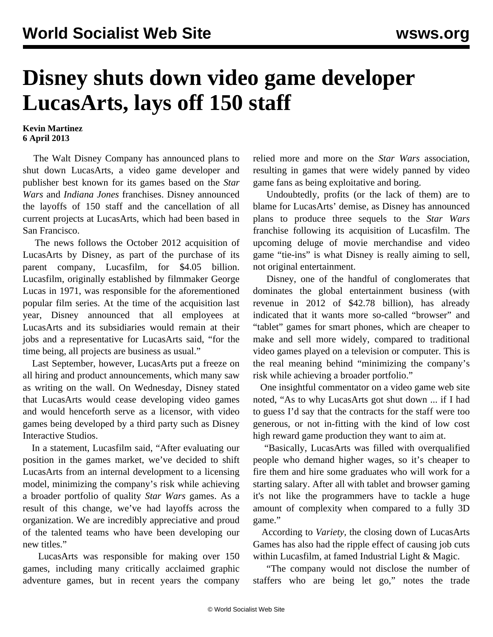## **Disney shuts down video game developer LucasArts, lays off 150 staff**

## **Kevin Martinez 6 April 2013**

 The Walt Disney Company has announced plans to shut down LucasArts, a video game developer and publisher best known for its games based on the *Star Wars* and *Indiana Jones* franchises. Disney announced the layoffs of 150 staff and the cancellation of all current projects at LucasArts, which had been based in San Francisco.

 The news follows the October 2012 acquisition of LucasArts by Disney, as part of the purchase of its parent company, Lucasfilm, for \$4.05 billion. Lucasfilm, originally established by filmmaker George Lucas in 1971, was responsible for the aforementioned popular film series. At the time of the acquisition last year, Disney announced that all employees at LucasArts and its subsidiaries would remain at their jobs and a representative for LucasArts said, "for the time being, all projects are business as usual."

 Last September, however, LucasArts put a freeze on all hiring and product announcements, which many saw as writing on the wall. On Wednesday, Disney stated that LucasArts would cease developing video games and would henceforth serve as a licensor, with video games being developed by a third party such as Disney Interactive Studios.

 In a statement, Lucasfilm said, "After evaluating our position in the games market, we've decided to shift LucasArts from an internal development to a licensing model, minimizing the company's risk while achieving a broader portfolio of quality *Star Wars* games. As a result of this change, we've had layoffs across the organization. We are incredibly appreciative and proud of the talented teams who have been developing our new titles."

 LucasArts was responsible for making over 150 games, including many critically acclaimed graphic adventure games, but in recent years the company relied more and more on the *Star Wars* association, resulting in games that were widely panned by video game fans as being exploitative and boring.

 Undoubtedly, profits (or the lack of them) are to blame for LucasArts' demise, as Disney has announced plans to produce three sequels to the *Star Wars* franchise following its acquisition of Lucasfilm. The upcoming deluge of movie merchandise and video game "tie-ins" is what Disney is really aiming to sell, not original entertainment.

 Disney, one of the handful of conglomerates that dominates the global entertainment business (with revenue in 2012 of \$42.78 billion), has already indicated that it wants more so-called "browser" and "tablet" games for smart phones, which are cheaper to make and sell more widely, compared to traditional video games played on a television or computer. This is the real meaning behind "minimizing the company's risk while achieving a broader portfolio."

 One insightful commentator on a video game web site noted, "As to why LucasArts got shut down ... if I had to guess I'd say that the contracts for the staff were too generous, or not in-fitting with the kind of low cost high reward game production they want to aim at.

 "Basically, LucasArts was filled with overqualified people who demand higher wages, so it's cheaper to fire them and hire some graduates who will work for a starting salary. After all with tablet and browser gaming it's not like the programmers have to tackle a huge amount of complexity when compared to a fully 3D game."

 According to *Variety*, the closing down of LucasArts Games has also had the ripple effect of causing job cuts within Lucasfilm, at famed Industrial Light & Magic.

 "The company would not disclose the number of staffers who are being let go," notes the trade